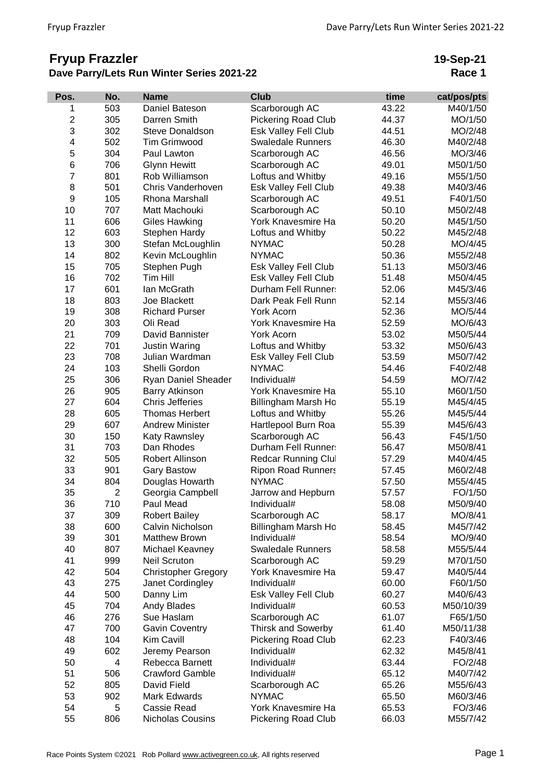## **Fryup Frazzler Dave Parry/Lets Run Winter Series 2021-22**

**19-Sep-21 Race 1**

| Pos.           | No.            | <b>Name</b>                | <b>Club</b>                | time  | cat/pos/pts |
|----------------|----------------|----------------------------|----------------------------|-------|-------------|
| 1              | 503            | Daniel Bateson             | Scarborough AC             | 43.22 | M40/1/50    |
| $\overline{c}$ | 305            | Darren Smith               | <b>Pickering Road Club</b> | 44.37 | MO/1/50     |
| 3              | 302            | Steve Donaldson            | Esk Valley Fell Club       | 44.51 | MO/2/48     |
| 4              | 502            | <b>Tim Grimwood</b>        | <b>Swaledale Runners</b>   | 46.30 | M40/2/48    |
| 5              | 304            | Paul Lawton                | Scarborough AC             | 46.56 | MO/3/46     |
| 6              | 706            | <b>Glynn Hewitt</b>        | Scarborough AC             | 49.01 | M50/1/50    |
| $\overline{7}$ | 801            | Rob Williamson             | Loftus and Whitby          | 49.16 | M55/1/50    |
| 8              | 501            | Chris Vanderhoven          | Esk Valley Fell Club       | 49.38 | M40/3/46    |
| 9              | 105            | Rhona Marshall             | Scarborough AC             | 49.51 | F40/1/50    |
| 10             | 707            | Matt Machouki              | Scarborough AC             | 50.10 | M50/2/48    |
| 11             | 606            | <b>Giles Hawking</b>       | York Knavesmire Ha         | 50.20 | M45/1/50    |
| 12             | 603            | Stephen Hardy              | Loftus and Whitby          | 50.22 | M45/2/48    |
| 13             | 300            | Stefan McLoughlin          | <b>NYMAC</b>               | 50.28 | MO/4/45     |
| 14             | 802            | Kevin McLoughlin           | <b>NYMAC</b>               | 50.36 | M55/2/48    |
| 15             | 705            | Stephen Pugh               | Esk Valley Fell Club       | 51.13 | M50/3/46    |
| 16             | 702            | Tim Hill                   | Esk Valley Fell Club       | 51.48 | M50/4/45    |
| 17             | 601            | Ian McGrath                | Durham Fell Runner:        | 52.06 | M45/3/46    |
| 18             | 803            | Joe Blackett               | Dark Peak Fell Runn        | 52.14 | M55/3/46    |
| 19             | 308            | <b>Richard Purser</b>      | York Acorn                 | 52.36 | MO/5/44     |
| 20             | 303            | Oli Read                   | York Knavesmire Ha         | 52.59 | MO/6/43     |
| 21             | 709            | David Bannister            | York Acorn                 | 53.02 | M50/5/44    |
| 22             | 701            | Justin Waring              | Loftus and Whitby          | 53.32 | M50/6/43    |
| 23             | 708            | Julian Wardman             | Esk Valley Fell Club       | 53.59 | M50/7/42    |
| 24             | 103            | Shelli Gordon              | <b>NYMAC</b>               | 54.46 | F40/2/48    |
| 25             | 306            | Ryan Daniel Sheader        | Individual#                | 54.59 | MO/7/42     |
| 26             | 905            | <b>Barry Atkinson</b>      | York Knavesmire Ha         | 55.10 | M60/1/50    |
| 27             | 604            | <b>Chris Jefferies</b>     | Billingham Marsh Ho        | 55.19 | M45/4/45    |
| 28             | 605            | <b>Thomas Herbert</b>      | Loftus and Whitby          | 55.26 | M45/5/44    |
| 29             | 607            | <b>Andrew Minister</b>     | Hartlepool Burn Roa        | 55.39 | M45/6/43    |
| 30             | 150            | Katy Rawnsley              | Scarborough AC             | 56.43 | F45/1/50    |
| 31             | 703            | Dan Rhodes                 | Durham Fell Runner:        | 56.47 | M50/8/41    |
| 32             | 505            | Robert Allinson            | Redcar Running Clul        | 57.29 | M40/4/45    |
| 33             | 901            | <b>Gary Bastow</b>         | <b>Ripon Road Runners</b>  | 57.45 | M60/2/48    |
| 34             | 804            | Douglas Howarth            | <b>NYMAC</b>               | 57.50 | M55/4/45    |
| 35             | $\overline{2}$ | Georgia Campbell           | Jarrow and Hepburn         | 57.57 | FO/1/50     |
| 36             | 710            | Paul Mead                  | Individual#                | 58.08 | M50/9/40    |
| 37             | 309            | <b>Robert Bailey</b>       | Scarborough AC             | 58.17 | MO/8/41     |
| 38             | 600            | Calvin Nicholson           | Billingham Marsh Ho        | 58.45 | M45/7/42    |
| 39             | 301            | <b>Matthew Brown</b>       | Individual#                | 58.54 | MO/9/40     |
| 40             | 807            | Michael Keavney            | <b>Swaledale Runners</b>   | 58.58 | M55/5/44    |
| 41             | 999            | <b>Neil Scruton</b>        | Scarborough AC             | 59.29 | M70/1/50    |
| 42             | 504            | <b>Christopher Gregory</b> | York Knavesmire Ha         | 59.47 | M40/5/44    |
| 43             | 275            | Janet Cordingley           | Individual#                | 60.00 | F60/1/50    |
| 44             | 500            | Danny Lim                  | Esk Valley Fell Club       | 60.27 | M40/6/43    |
| 45             | 704            | Andy Blades                | Individual#                | 60.53 | M50/10/39   |
| 46             | 276            | Sue Haslam                 | Scarborough AC             | 61.07 | F65/1/50    |
| 47             | 700            | <b>Gavin Coventry</b>      | <b>Thirsk and Sowerby</b>  | 61.40 | M50/11/38   |
| 48             | 104            | Kim Cavill                 | <b>Pickering Road Club</b> | 62.23 | F40/3/46    |
| 49             | 602            | Jeremy Pearson             | Individual#                | 62.32 | M45/8/41    |
| 50             | 4              | Rebecca Barnett            | Individual#                | 63.44 | FO/2/48     |
| 51             | 506            | <b>Crawford Gamble</b>     | Individual#                | 65.12 | M40/7/42    |
| 52             | 805            | David Field                | Scarborough AC             | 65.26 | M55/6/43    |
| 53             | 902            | Mark Edwards               | <b>NYMAC</b>               | 65.50 | M60/3/46    |
| 54             | 5              | <b>Cassie Read</b>         | York Knavesmire Ha         | 65.53 | FO/3/46     |
| 55             | 806            | Nicholas Cousins           | Pickering Road Club        | 66.03 | M55/7/42    |
|                |                |                            |                            |       |             |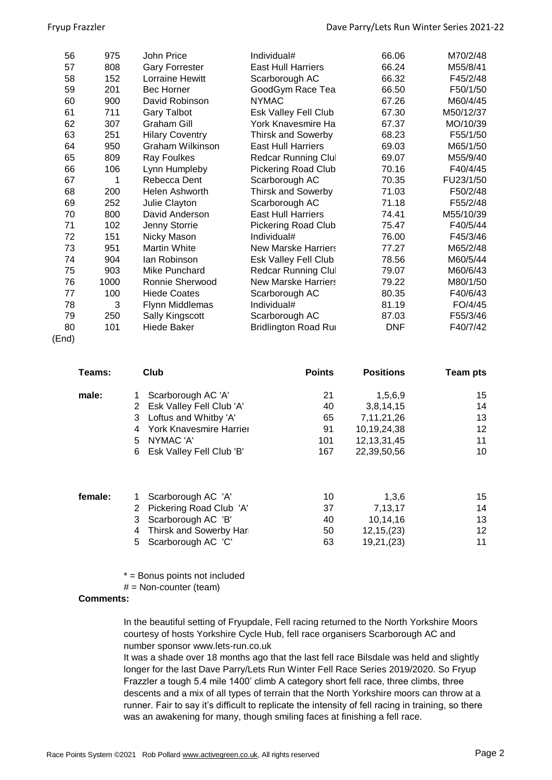| 56 | 975  | John Price              | Individual#                  | 66.06      | M70/2/48  |
|----|------|-------------------------|------------------------------|------------|-----------|
| 57 | 808  | <b>Gary Forrester</b>   | <b>East Hull Harriers</b>    | 66.24      | M55/8/41  |
| 58 | 152  | Lorraine Hewitt         | Scarborough AC               | 66.32      | F45/2/48  |
| 59 | 201  | <b>Bec Horner</b>       | GoodGym Race Tea             | 66.50      | F50/1/50  |
| 60 | 900  | David Robinson          | <b>NYMAC</b>                 | 67.26      | M60/4/45  |
| 61 | 711  | <b>Gary Talbot</b>      | Esk Valley Fell Club         | 67.30      | M50/12/37 |
| 62 | 307  | <b>Graham Gill</b>      | York Knavesmire Ha           | 67.37      | MO/10/39  |
| 63 | 251  | <b>Hilary Coventry</b>  | <b>Thirsk and Sowerby</b>    | 68.23      | F55/1/50  |
| 64 | 950  | <b>Graham Wilkinson</b> | <b>East Hull Harriers</b>    | 69.03      | M65/1/50  |
| 65 | 809  | Ray Foulkes             | Redcar Running Clul          | 69.07      | M55/9/40  |
| 66 | 106  | Lynn Humpleby           | Pickering Road Club          | 70.16      | F40/4/45  |
| 67 | 1    | Rebecca Dent            | Scarborough AC               | 70.35      | FU23/1/50 |
| 68 | 200  | Helen Ashworth          | <b>Thirsk and Sowerby</b>    | 71.03      | F50/2/48  |
| 69 | 252  | Julie Clayton           | Scarborough AC               | 71.18      | F55/2/48  |
| 70 | 800  | David Anderson          | <b>East Hull Harriers</b>    | 74.41      | M55/10/39 |
| 71 | 102  | Jenny Storrie           | <b>Pickering Road Club</b>   | 75.47      | F40/5/44  |
| 72 | 151  | Nicky Mason             | Individual#                  | 76.00      | F45/3/46  |
| 73 | 951  | Martin White            | <b>New Marske Harriers</b>   | 77.27      | M65/2/48  |
| 74 | 904  | lan Robinson            | Esk Valley Fell Club         | 78.56      | M60/5/44  |
| 75 | 903  | Mike Punchard           | <b>Redcar Running Clul</b>   | 79.07      | M60/6/43  |
| 76 | 1000 | Ronnie Sherwood         | <b>New Marske Harriers</b>   | 79.22      | M80/1/50  |
| 77 | 100  | <b>Hiede Coates</b>     | Scarborough AC               | 80.35      | F40/6/43  |
| 78 | 3    | Flynn Middlemas         | Individual#                  | 81.19      | FO/4/45   |
| 79 | 250  | Sally Kingscott         | Scarborough AC               | 87.03      | F55/3/46  |
| 80 | 101  | <b>Hiede Baker</b>      | <b>Bridlington Road Rure</b> | <b>DNF</b> | F40/7/42  |
|    |      |                         |                              |            |           |

## (End)

| Teams:  | Club                                                | <b>Points</b> | <b>Positions</b>     | <b>Team pts</b> |
|---------|-----------------------------------------------------|---------------|----------------------|-----------------|
| male:   | Scarborough AC 'A'<br>Esk Valley Fell Club 'A'<br>2 | 21<br>40      | 1,5,6,9<br>3,8,14,15 | 15<br>14        |
|         | Loftus and Whitby 'A'<br>3                          | 65            | 7,11,21,26           | 13              |
|         | York Knavesmire Harrier<br>4                        | 91            | 10,19,24,38          | 12              |
|         | NYMAC 'A'<br>5                                      | 101           | 12, 13, 31, 45       | 11              |
|         | Esk Valley Fell Club 'B'<br>6                       | 167           | 22,39,50,56          | 10              |
| female: | Scarborough AC 'A'                                  | 10            | 1,3,6                | 15              |
|         | Pickering Road Club 'A'                             | 37            | 7,13,17              | 14              |

| Z PICKERING ROAD CIUD A  |    | 7.13.17      | 14 |
|--------------------------|----|--------------|----|
| 3 Scarborough AC 'B'     | 40 | 10.14.16     | 13 |
| 4 Thirsk and Sowerby Har | 50 | 12, 15, (23) | 12 |
| 5 Scarborough AC 'C'     | 63 | 19,21,(23)   | 11 |

\* = Bonus points not included

 $#$  = Non-counter (team)

## **Comments:**

In the beautiful setting of Fryupdale, Fell racing returned to the North Yorkshire Moors courtesy of hosts Yorkshire Cycle Hub, fell race organisers Scarborough AC and number sponsor www.lets-run.co.uk

It was a shade over 18 months ago that the last fell race Bilsdale was held and slightly longer for the last Dave Parry/Lets Run Winter Fell Race Series 2019/2020. So Fryup Frazzler a tough 5.4 mile 1400' climb A category short fell race, three climbs, three descents and a mix of all types of terrain that the North Yorkshire moors can throw at a runner. Fair to say it's difficult to replicate the intensity of fell racing in training, so there was an awakening for many, though smiling faces at finishing a fell race.